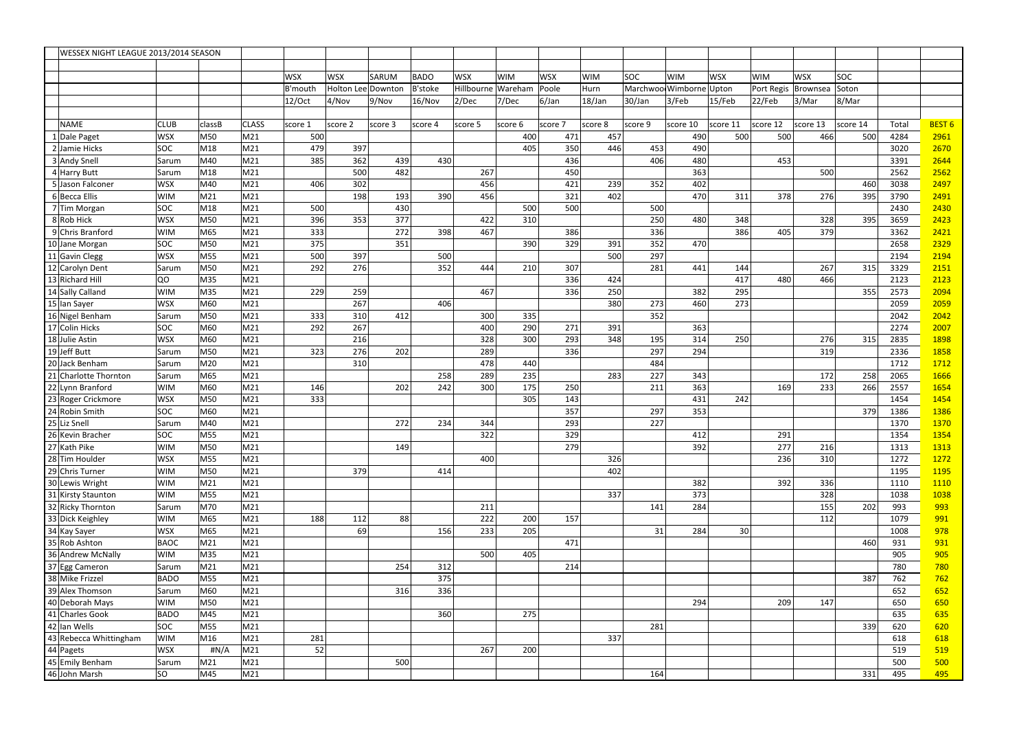| WESSEX NIGHT LEAGUE 2013/2014 SEASON |                                |                |                   |                 |            |                    |         |                |            |            |            |                   |            |                          |            |            |            |            |              |                   |
|--------------------------------------|--------------------------------|----------------|-------------------|-----------------|------------|--------------------|---------|----------------|------------|------------|------------|-------------------|------------|--------------------------|------------|------------|------------|------------|--------------|-------------------|
|                                      |                                |                |                   |                 |            |                    |         |                |            |            |            |                   |            |                          |            |            |            |            |              |                   |
|                                      |                                |                |                   |                 | <b>WSX</b> | <b>WSX</b>         | SARUM   | <b>BADO</b>    | <b>WSX</b> | <b>WIM</b> | <b>WSX</b> | <b>WIM</b>        | <b>SOC</b> | <b>WIM</b>               | <b>WSX</b> | <b>WIM</b> | <b>WSX</b> | <b>SOC</b> |              |                   |
|                                      |                                |                |                   |                 | B'mouth    | Holton Lee Downtor |         | <b>B'stoke</b> | Hillbourne | Wareham    | Poole      | Hurn              |            | Marchwool Wimborne Upton |            | Port Regis | Brownsea   | Soton      |              |                   |
|                                      |                                |                |                   |                 | 12/Oct     | 4/Nov              | 9/Nov   | 16/Nov         | 2/Dec      | 7/Dec      | 6/Jan      | $18/$ Jan         | 30/Jan     | 3/Feb                    | $15$ /Feb  | 22/Feb     | 3/Mar      | 8/Mar      |              |                   |
|                                      |                                |                |                   |                 |            |                    |         |                |            |            |            |                   |            |                          |            |            |            |            |              |                   |
|                                      | <b>NAME</b>                    | <b>CLUB</b>    | classB            | <b>CLASS</b>    | score 1    | score 2            | score 3 | score 4        | score 5    | score 6    | score 7    | score 8           | score 9    | score 10                 | score 11   | score 12   | score 13   | score 14   | Total        | BEST <sub>6</sub> |
|                                      | 1 Dale Paget                   | <b>WSX</b>     | <b>M50</b>        | M21             | 500        |                    |         |                |            | 400        |            | 457<br>471        |            | 490                      | 500        | 500        | 466        | 500        | 4284         | 2961              |
|                                      | 2 Jamie Hicks                  | <b>SOC</b>     | M18               | M <sub>21</sub> | 479        | 397                |         |                |            | 405        |            | 350<br>446        | 453        | 490                      |            |            |            |            | 3020         | 2670              |
|                                      | 3 Andy Snell                   | Sarum          | M40               | M <sub>21</sub> | 385        | 362                | 439     | 430            |            |            |            | 436               | 406        | 480                      |            | 453        |            |            | 3391         | 2644              |
|                                      | 4 Harry Butt                   | Sarum          | M18               | M21             |            | 500                | 482     |                | 267        |            |            | 450               |            | 363                      |            |            | 500        |            | 2562         | 2562              |
|                                      | 5 Jason Falconer               | <b>WSX</b>     | M40               | M21             | 406        | 302                |         |                | 456        |            |            | 421<br>239        | 352        | 402                      |            |            |            | 460        | 3038         | 2497              |
|                                      | 6 Becca Ellis                  | <b>WIM</b>     | M21               | M21             |            | 198                | 193     | 390            | 456        |            |            | 321<br>402        |            | 470                      | 311        | 378        | 276        | 395        | 3790         | 2491              |
|                                      | 7Tim Morgan                    | <b>SOC</b>     | M18               | M21             | 500        |                    | 430     |                |            | 500        |            | 500               | 500        |                          |            |            |            |            | 2430         | 2430              |
|                                      | 8 Rob Hick                     | <b>WSX</b>     | <b>M50</b>        | M <sub>21</sub> | 396        | 353                | 377     |                | 422        | 310        |            |                   | 250        | 480                      | 348        |            | 328        | 395        | 3659         | 2423              |
|                                      | 9 Chris Branford               | <b>WIM</b>     | M65               | M21             | 333        |                    | 272     | 398            | 467        |            |            | 386               | 336        |                          | 386        | 405        | 379        |            | 3362         | 2421              |
|                                      | 10 Jane Morgan                 | <b>SOC</b>     | <b>M50</b>        | M21             | 375        |                    | 351     |                |            | 390        |            | 329<br>391        | 352        | 470                      |            |            |            |            | 2658         | 2329              |
|                                      | 11 Gavin Clegg                 | <b>WSX</b>     | M55               | M21             | 500        | 397                |         | 500            |            |            |            | 500               | 297        |                          |            |            |            |            | 2194         | 2194              |
|                                      | 12 Carolyn Dent                | Sarum          | <b>M50</b>        | M <sub>21</sub> | 292        | 276                |         | 352            | 444        | 210        |            | 307               | 281        | 441                      | 144        |            | 267        | 315        | 3329         | 2151              |
|                                      | 13 Richard Hill                | <b>QO</b>      | M35               | M21             |            |                    |         |                |            |            |            | 336<br>424        |            |                          | 417        | 480        | 466        |            | 2123         | 2123              |
|                                      | 14 Sally Calland               | <b>WIM</b>     | M35               | M21             | 229        | 259                |         |                | 467        |            |            | 336<br>250        | 273        | 382                      | 295        |            |            | 355        | 2573         | 2094              |
|                                      | 15 Ian Sayer                   | <b>WSX</b>     | M60               | M21             |            | 267                |         | 406            |            |            |            | 380               |            | 460                      | 273        |            |            |            | 2059         | 2059              |
|                                      | 16 Nigel Benham                | Sarum          | M50               | M <sub>21</sub> | 333        | 310                | 412     |                | 300        | 335        |            |                   | 352        |                          |            |            |            |            | 2042         | 2042              |
|                                      | 17 Colin Hicks                 | SOC            | M60               | M21             | 292        | 267                |         |                | 400        | 290        |            | 271<br>391        |            | 363                      |            |            |            |            | 2274         | 2007              |
|                                      | 18 Julie Astin                 | <b>WSX</b>     | M60               | M21             |            | 216<br>276         | 202     |                | 328        | 300        |            | 293<br>348<br>336 | 195<br>297 | 314<br>294               | 250        |            | 276<br>319 | 315        | 2835         | 1898              |
|                                      | 19 Jeff Butt<br>20 Jack Benham | Sarum          | <b>M50</b><br>M20 | M21<br>M21      | 323        |                    |         |                | 289<br>478 |            |            |                   | 484        |                          |            |            |            |            | 2336<br>1712 | 1858<br>1712      |
|                                      | 21 Charlotte Thornton          | Sarum<br>Sarum | M65               | M <sub>21</sub> |            | 310                |         | 258            | 289        | 440<br>235 |            | 283               | 227        | 343                      |            |            | 172        | 258        | 2065         | 1666              |
|                                      | 22 Lynn Branford               | <b>WIM</b>     | M60               | M21             | 146        |                    | 202     | 242            | 300        | 175        |            | 250               | 211        | 363                      |            | 169        | 233        | 266        | 2557         | 1654              |
|                                      | 23 Roger Crickmore             | <b>WSX</b>     | M50               | M <sub>21</sub> | 333        |                    |         |                |            | 305        |            | 143               |            | 431                      | 242        |            |            |            | 1454         | 1454              |
|                                      | 24 Robin Smith                 | SOC            | M60               | M21             |            |                    |         |                |            |            |            | 357               | 297        | 353                      |            |            |            | 379        | 1386         | 1386              |
|                                      | 25 Liz Snell                   | Sarum          | M40               | M21             |            |                    | 272     | 234            | 344        |            |            | 293               | 227        |                          |            |            |            |            | 1370         | 1370              |
|                                      | 26 Kevin Bracher               | ∣SOC           | M55               | M21             |            |                    |         |                | 322        |            |            | 329               |            | 412                      |            | 291        |            |            | 1354         | <u>1354</u>       |
|                                      | 27 Kath Pike                   | <b>WIM</b>     | <b>M50</b>        | M21             |            |                    | 149     |                |            |            |            | 279               |            | 392                      |            | 277        | 216        |            | 1313         | 1313              |
|                                      | 28 Tim Houlder                 | <b>WSX</b>     | M55               | M <sub>21</sub> |            |                    |         |                | 400        |            |            | 326               |            |                          |            | 236        | 310        |            | 1272         | 1272              |
|                                      | 29 Chris Turner                | <b>WIM</b>     | M50               | M <sub>21</sub> |            | 379                |         | 414            |            |            |            | 402               |            |                          |            |            |            |            | 1195         | 1195              |
|                                      | 30 Lewis Wright                | <b>WIM</b>     | M21               | M21             |            |                    |         |                |            |            |            |                   |            | 382                      |            | 392        | 336        |            | 1110         | 1110              |
|                                      | 31 Kirsty Staunton             | <b>WIM</b>     | M55               | M <sub>21</sub> |            |                    |         |                |            |            |            | 337               |            | 373                      |            |            | 328        |            | 1038         | 1038              |
|                                      | 32 Ricky Thornton              | Sarum          | M70               | M <sub>21</sub> |            |                    |         |                | 211        |            |            |                   | 141        | 284                      |            |            | 155        | 202        | 993          | 993               |
|                                      | 33 Dick Keighley               | <b>WIM</b>     | M65               | M <sub>21</sub> | 188        | 112                | 88      |                | 222        | 200        |            | 157               |            |                          |            |            | 112        |            | 1079         | 991               |
|                                      | 34 Kay Sayer                   | <b>WSX</b>     | M65               | M21             |            | 69                 |         | 156            | 233        | 205        |            |                   | 31         | 284                      | 30         |            |            |            | 1008         | 978               |
|                                      | 35 Rob Ashton                  | BAOC           | M21               | M <sub>21</sub> |            |                    |         |                |            |            |            | 471               |            |                          |            |            |            | 460        | 931          | 931               |
|                                      | 36 Andrew McNally              | <b>WIM</b>     | M35               | M <sub>21</sub> |            |                    |         |                | 500        | 405        |            |                   |            |                          |            |            |            |            | 905          | 905               |
|                                      | 37 Egg Cameron                 | Sarum          | M21               | M21             |            |                    | 254     | 312            |            |            |            | 214               |            |                          |            |            |            |            | 780          | 780               |
|                                      | 38 Mike Frizzel                | BADO           | M55               | M <sub>21</sub> |            |                    |         | 375            |            |            |            |                   |            |                          |            |            |            | 387        | 762          | 762               |
|                                      | 39 Alex Thomson                | Sarum          | M60               | M21             |            |                    | 316     | 336            |            |            |            |                   |            |                          |            |            |            |            | 652          | 652               |
|                                      | 40 Deborah Mays                | <b>WIM</b>     | M50               | M21             |            |                    |         |                |            |            |            |                   |            | 294                      |            | 209        | 147        |            | 650          | 650               |
|                                      | 41 Charles Gook                | BADO           | M45               | M <sub>21</sub> |            |                    |         | 360            |            | 275        |            |                   |            |                          |            |            |            |            | 635          | 635               |
|                                      | 42 lan Wells                   | SOC            | M55               | M <sub>21</sub> |            |                    |         |                |            |            |            |                   | 281        |                          |            |            |            | 339        | 620          | 620               |
|                                      | 43 Rebecca Whittingham         | <b>WIM</b>     | M16               | M <sub>21</sub> | 281        |                    |         |                |            |            |            | 337               |            |                          |            |            |            |            | 618          | 618               |
|                                      | 44 Pagets                      | <b>WSX</b>     | #N/A              | M <sub>21</sub> | 52         |                    |         |                | 267        | 200        |            |                   |            |                          |            |            |            |            | 519          | 519               |
|                                      | 45 Emily Benham                | Sarum          | M21               | M <sub>21</sub> |            |                    | 500     |                |            |            |            |                   |            |                          |            |            |            |            | 500          | 500               |
|                                      | 46 John Marsh                  | <b>SO</b>      | M45               | M <sub>21</sub> |            |                    |         |                |            |            |            |                   | 164        |                          |            |            |            | 331        | 495          | 495               |